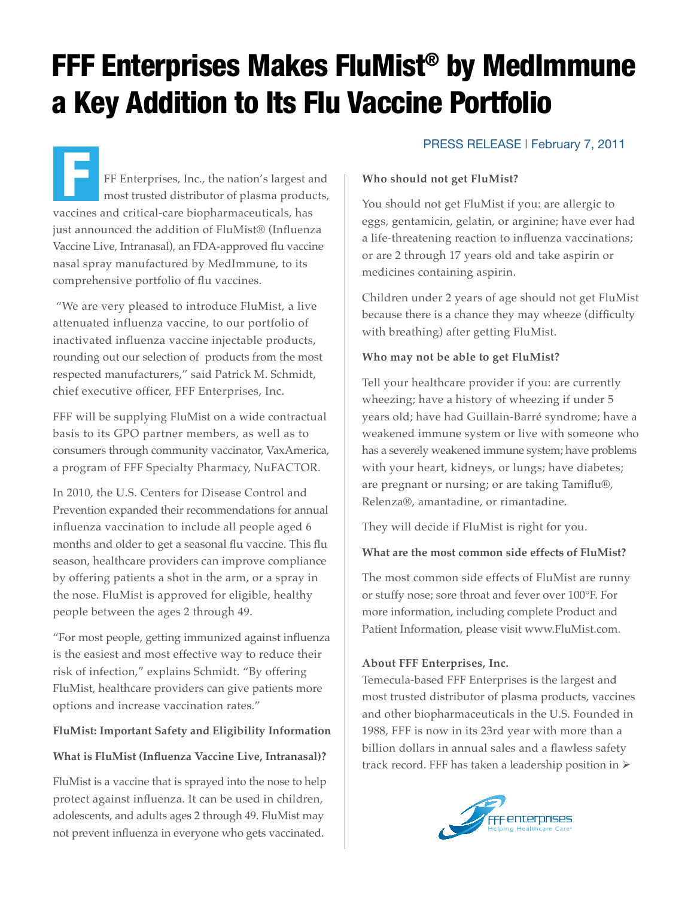# FFF Enterprises Makes FluMist® by MedImmune a Key Addition to Its Flu Vaccine Portfolio

FF Enterprises, Inc., the nation's largest and most trusted distributor of plasma products, vaccines and critical-care biopharmaceuticals, has just announced the addition of FluMist® (Influenza Vaccine Live, Intranasal), an FDA-approved flu vaccine nasal spray manufactured by MedImmune, to its comprehensive portfolio of flu vaccines. F

 "We are very pleased to introduce FluMist, a live attenuated influenza vaccine, to our portfolio of inactivated influenza vaccine injectable products, rounding out our selection of products from the most respected manufacturers," said Patrick M. Schmidt, chief executive officer, FFF Enterprises, Inc.

FFF will be supplying FluMist on a wide contractual basis to its GPO partner members, as well as to consumers through community vaccinator, VaxAmerica, a program of FFF Specialty Pharmacy, NuFACTOR.

In 2010, the U.S. Centers for Disease Control and Prevention expanded their recommendations for annual influenza vaccination to include all people aged 6 months and older to get a seasonal flu vaccine. This flu season, healthcare providers can improve compliance by offering patients a shot in the arm, or a spray in the nose. FluMist is approved for eligible, healthy people between the ages 2 through 49.

"For most people, getting immunized against influenza is the easiest and most effective way to reduce their risk of infection," explains Schmidt. "By offering FluMist, healthcare providers can give patients more options and increase vaccination rates."

## **FluMist: Important Safety and Eligibility Information**

## **What is FluMist (Influenza Vaccine Live, Intranasal)?**

FluMist is a vaccine that is sprayed into the nose to help protect against influenza. It can be used in children, adolescents, and adults ages 2 through 49. FluMist may not prevent influenza in everyone who gets vaccinated.

## PRESS RELEASE | February 7, 2011

### **Who should not get FluMist?**

You should not get FluMist if you: are allergic to eggs, gentamicin, gelatin, or arginine; have ever had a life-threatening reaction to influenza vaccinations; or are 2 through 17 years old and take aspirin or medicines containing aspirin.

Children under 2 years of age should not get FluMist because there is a chance they may wheeze (difficulty with breathing) after getting FluMist.

#### **Who may not be able to get FluMist?**

Tell your healthcare provider if you: are currently wheezing; have a history of wheezing if under 5 years old; have had Guillain-Barré syndrome; have a weakened immune system or live with someone who has a severely weakened immune system; have problems with your heart, kidneys, or lungs; have diabetes; are pregnant or nursing; or are taking Tamiflu®, Relenza®, amantadine, or rimantadine.

They will decide if FluMist is right for you.

### **What are the most common side effects of FluMist?**

The most common side effects of FluMist are runny or stuffy nose; sore throat and fever over 100°F. For more information, including complete Product and Patient Information, please visit www.FluMist.com.

### **About FFF Enterprises, Inc.**

Temecula-based FFF Enterprises is the largest and most trusted distributor of plasma products, vaccines and other biopharmaceuticals in the U.S. Founded in 1988, FFF is now in its 23rd year with more than a billion dollars in annual sales and a flawless safety track record. FFF has taken a leadership position in  $\triangleright$